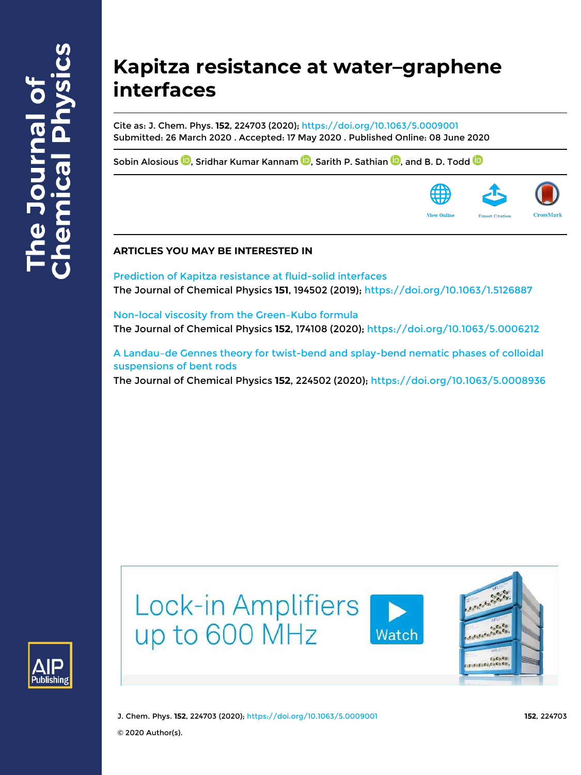# **Kapitza resistance at water–graphene interfaces**

Cite as: J. Chem. Phys. **152**, 224703 (2020); https://doi.org/10.1063/5.0009001 Submitted: 26 March 2020 . Accepted: 17 May 2020 . Published Online: 08 June 2020

Sobin Alosious **D**, Sridhar Kumar Kannam **D**, Sarith P. Sathian **D**, and B. D. Todd **D** 



### **ARTICLES YOU MAY BE INTERESTED IN**

Prediction of Kapitza resistance at fluid-solid interfaces The Journal of Chemical Physics **151**, 194502 (2019); https://doi.org/10.1063/1.5126887

Non-local viscosity from the Green–Kubo formula The Journal of Chemical Physics **152**, 174108 (2020); https://doi.org/10.1063/5.0006212

A Landau–de Gennes theory for twist-bend and splay-bend nematic phases of colloidal suspensions of bent rods

The Journal of Chemical Physics **152**, 224502 (2020); https://doi.org/10.1063/5.0008936



**Lock-in Amplifiers** up to 600 MHz





J. Chem. Phys. **152**, 224703 (2020); https://doi.org/10.1063/5.0009001 **152**, 224703 © 2020 Author(s).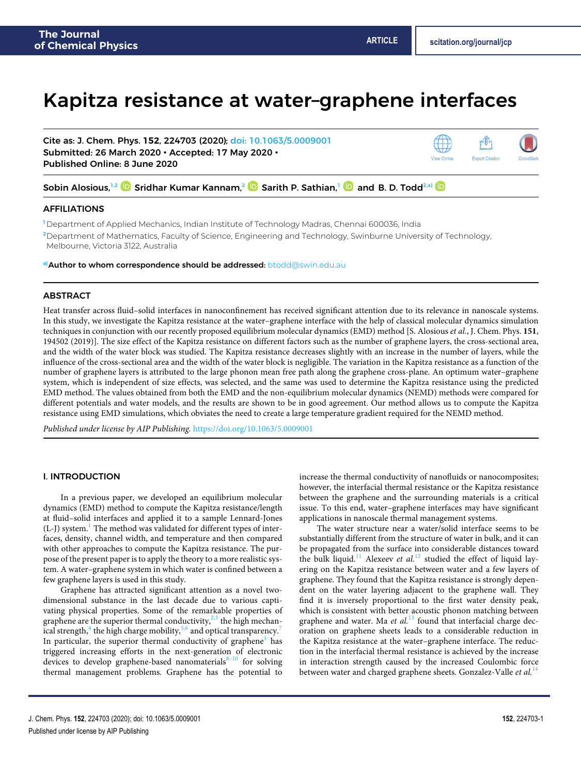## Kapitza resistance at water–graphene interfaces



#### AFFILIATIONS

**<sup>1</sup>** Department of Applied Mechanics, Indian Institute of Technology Madras, Chennai 600036, India **<sup>2</sup>**Department of Mathematics, Faculty of Science, Engineering and Technology, Swinburne University of Technology, Melbourne, Victoria 3122, Australia

**a)**Author to whom correspondence should be addressed: btodd@swin.edu.au

#### ABSTRACT

Heat transfer across fluid–solid interfaces in nanoconfinement has received significant attention due to its relevance in nanoscale systems. In this study, we investigate the Kapitza resistance at the water–graphene interface with the help of classical molecular dynamics simulation techniques in conjunction with our recently proposed equilibrium molecular dynamics (EMD) method [S. Alosious *et al.*, J. Chem. Phys. **151**, 194502 (2019)]. The size effect of the Kapitza resistance on different factors such as the number of graphene layers, the cross-sectional area, and the width of the water block was studied. The Kapitza resistance decreases slightly with an increase in the number of layers, while the influence of the cross-sectional area and the width of the water block is negligible. The variation in the Kapitza resistance as a function of the number of graphene layers is attributed to the large phonon mean free path along the graphene cross-plane. An optimum water–graphene system, which is independent of size effects, was selected, and the same was used to determine the Kapitza resistance using the predicted EMD method. The values obtained from both the EMD and the non-equilibrium molecular dynamics (NEMD) methods were compared for different potentials and water models, and the results are shown to be in good agreement. Our method allows us to compute the Kapitza resistance using EMD simulations, which obviates the need to create a large temperature gradient required for the NEMD method.

*Published under license by AIP Publishing.* https://doi.org/10.1063/5.0009001.,

#### I. INTRODUCTION

In a previous paper, we developed an equilibrium molecular dynamics (EMD) method to compute the Kapitza resistance/length at fluid–solid interfaces and applied it to a sample Lennard-Jones  $(L-J)$  system.<sup>1</sup> The method was validated for different types of interfaces, density, channel width, and temperature and then compared with other approaches to compute the Kapitza resistance. The purpose of the present paper is to apply the theory to a more realistic system. A water–graphene system in which water is confined between a few graphene layers is used in this study.

Graphene has attracted significant attention as a novel twodimensional substance in the last decade due to various captivating physical properties. Some of the remarkable properties of graphene are the superior thermal conductivity, $23$  the high mechanical strength,<sup>4</sup> the high charge mobility,  $5,6$  and optical transparency.<sup>7</sup> In particular, the superior thermal conductivity of graphene<sup>3</sup> has triggered increasing efforts in the next-generation of electronic devices to develop graphene-based nanomaterials $8-10$  for solving thermal management problems. Graphene has the potential to

increase the thermal conductivity of nanofluids or nanocomposites; however, the interfacial thermal resistance or the Kapitza resistance between the graphene and the surrounding materials is a critical issue. To this end, water–graphene interfaces may have significant applications in nanoscale thermal management systems.

The water structure near a water/solid interface seems to be substantially different from the structure of water in bulk, and it can be propagated from the surface into considerable distances toward the bulk liquid.<sup>11</sup> Alexeev *et al.*<sup>12</sup> studied the effect of liquid layering on the Kapitza resistance between water and a few layers of graphene. They found that the Kapitza resistance is strongly dependent on the water layering adjacent to the graphene wall. They find it is inversely proportional to the first water density peak, which is consistent with better acoustic phonon matching between graphene and water. Ma *et al.*<sup>13</sup> found that interfacial charge decoration on graphene sheets leads to a considerable reduction in the Kapitza resistance at the water–graphene interface. The reduction in the interfacial thermal resistance is achieved by the increase in interaction strength caused by the increased Coulombic force between water and charged graphene sheets. Gonzalez-Valle et al.<sup>14</sup>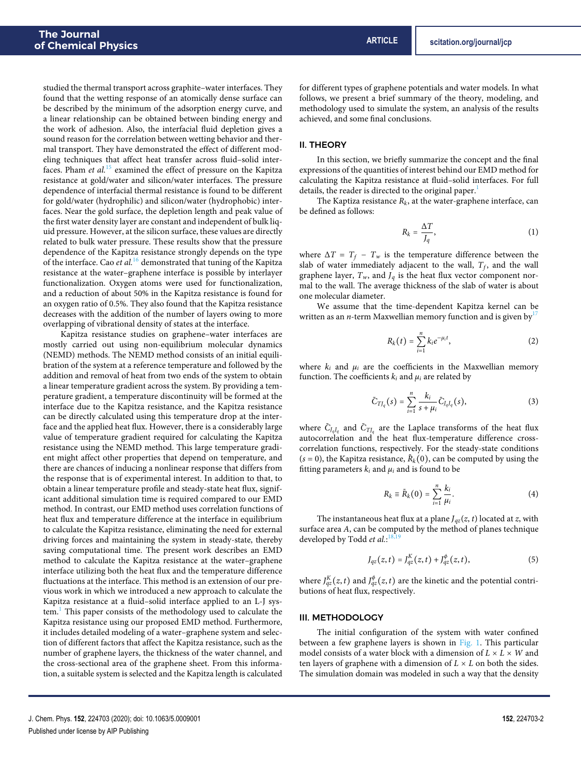studied the thermal transport across graphite–water interfaces. They found that the wetting response of an atomically dense surface can be described by the minimum of the adsorption energy curve, and a linear relationship can be obtained between binding energy and the work of adhesion. Also, the interfacial fluid depletion gives a sound reason for the correlation between wetting behavior and thermal transport. They have demonstrated the effect of different modeling techniques that affect heat transfer across fluid–solid interfaces. Pham *et al.*<sup>15</sup> examined the effect of pressure on the Kapitza resistance at gold/water and silicon/water interfaces. The pressure dependence of interfacial thermal resistance is found to be different for gold/water (hydrophilic) and silicon/water (hydrophobic) interfaces. Near the gold surface, the depletion length and peak value of the first water density layer are constant and independent of bulk liquid pressure. However, at the silicon surface, these values are directly related to bulk water pressure. These results show that the pressure dependence of the Kapitza resistance strongly depends on the type of the interface. Cao *et al.*<sup>16</sup> demonstrated that tuning of the Kapitza resistance at the water–graphene interface is possible by interlayer functionalization. Oxygen atoms were used for functionalization, and a reduction of about 50% in the Kapitza resistance is found for an oxygen ratio of 0.5%. They also found that the Kapitza resistance decreases with the addition of the number of layers owing to more overlapping of vibrational density of states at the interface.

Kapitza resistance studies on graphene–water interfaces are mostly carried out using non-equilibrium molecular dynamics (NEMD) methods. The NEMD method consists of an initial equilibration of the system at a reference temperature and followed by the addition and removal of heat from two ends of the system to obtain a linear temperature gradient across the system. By providing a temperature gradient, a temperature discontinuity will be formed at the interface due to the Kapitza resistance, and the Kapitza resistance can be directly calculated using this temperature drop at the interface and the applied heat flux. However, there is a considerably large value of temperature gradient required for calculating the Kapitza resistance using the NEMD method. This large temperature gradient might affect other properties that depend on temperature, and there are chances of inducing a nonlinear response that differs from the response that is of experimental interest. In addition to that, to obtain a linear temperature profile and steady-state heat flux, significant additional simulation time is required compared to our EMD method. In contrast, our EMD method uses correlation functions of heat flux and temperature difference at the interface in equilibrium to calculate the Kapitza resistance, eliminating the need for external driving forces and maintaining the system in steady-state, thereby saving computational time. The present work describes an EMD method to calculate the Kapitza resistance at the water–graphene interface utilizing both the heat flux and the temperature difference fluctuations at the interface. This method is an extension of our previous work in which we introduced a new approach to calculate the Kapitza resistance at a fluid–solid interface applied to an L-J system.<sup>1</sup> This paper consists of the methodology used to calculate the Kapitza resistance using our proposed EMD method. Furthermore, it includes detailed modeling of a water–graphene system and selection of different factors that affect the Kapitza resistance, such as the number of graphene layers, the thickness of the water channel, and the cross-sectional area of the graphene sheet. From this information, a suitable system is selected and the Kapitza length is calculated

for different types of graphene potentials and water models. In what follows, we present a brief summary of the theory, modeling, and methodology used to simulate the system, an analysis of the results achieved, and some final conclusions.

#### II. THEORY

In this section, we briefly summarize the concept and the final expressions of the quantities of interest behind our EMD method for calculating the Kapitza resistance at fluid–solid interfaces. For full details, the reader is directed to the original paper.<sup>1</sup>

The Kaptiza resistance  $R_k$ , at the water-graphene interface, can be defined as follows:

$$
R_k = \frac{\Delta T}{J_q},\tag{1}
$$

where  $\Delta T = T_f - T_w$  is the temperature difference between the slab of water immediately adjacent to the wall,  $T_f$ , and the wall graphene layer,  $T_w$ , and  $J_q$  is the heat flux vector component normal to the wall. The average thickness of the slab of water is about one molecular diameter.

We assume that the time-dependent Kapitza kernel can be written as an *n*-term Maxwellian memory function and is given by<sup>17</sup>

$$
R_k(t) = \sum_{i=1}^n k_i e^{-\mu_i t},
$$
 (2)

where  $k_i$  and  $\mu_i$  are the coefficients in the Maxwellian memory function. The coefficients  $k_i$  and  $\mu_i$  are related by

$$
\tilde{C}_{TJ_q}(s) = \sum_{i=1}^n \frac{k_i}{s + \mu_i} \tilde{C}_{J_qJ_q}(s), \qquad (3)
$$

where  $\tilde{C}_{J_qJ_q}$  and  $\tilde{C}_{TJ_q}$  are the Laplace transforms of the heat flux autocorrelation and the heat flux-temperature difference crosscorrelation functions, respectively. For the steady-state conditions  $(s = 0)$ , the Kapitza resistance,  $\tilde{R}_k(0)$ , can be computed by using the fitting parameters  $k_i$  and  $\mu_i$  and is found to be

$$
R_k \equiv \tilde{R}_k(0) = \sum_{i=1}^n \frac{k_i}{\mu_i}.
$$
 (4)

The instantaneous heat flux at a plane  $J_{qz}(z, t)$  located at  $z$ , with surface area *A*, can be computed by the method of planes technique developed by Todd *et al.*: 18,19

$$
J_{qz}(z,t) = J_{qz}^{K}(z,t) + J_{qz}^{\phi}(z,t),
$$
\n(5)

where  $J_{qz}^{K}(z,t)$  and  $J_{qz}^{\phi}(z,t)$  are the kinetic and the potential contributions of heat flux, respectively.

#### III. METHODOLOGY

The initial configuration of the system with water confined between a few graphene layers is shown in Fig. 1. This particular model consists of a water block with a dimension of  $L \times L \times W$  and ten layers of graphene with a dimension of  $L \times L$  on both the sides. The simulation domain was modeled in such a way that the density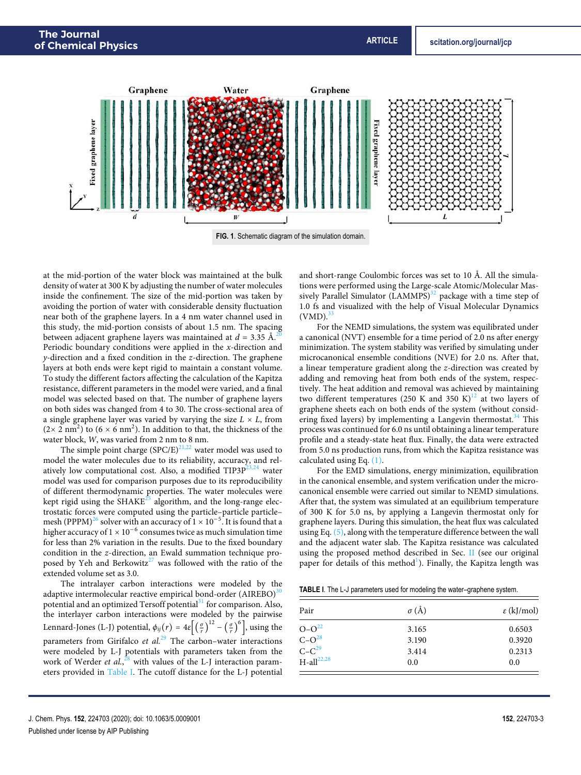

Ì.

at the mid-portion of the water block was maintained at the bulk density of water at 300 K by adjusting the number of water molecules inside the confinement. The size of the mid-portion was taken by avoiding the portion of water with considerable density fluctuation near both of the graphene layers. In a 4 nm water channel used in this study, the mid-portion consists of about 1.5 nm. The spacing between adjacent graphene layers was maintained at  $d = 3.35 \text{ Å}^{20}$ Periodic boundary conditions were applied in the *x*-direction and *y*-direction and a fixed condition in the *z*-direction. The graphene layers at both ends were kept rigid to maintain a constant volume. To study the different factors affecting the calculation of the Kapitza resistance, different parameters in the model were varied, and a final model was selected based on that. The number of graphene layers on both sides was changed from 4 to 30. The cross-sectional area of a single graphene layer was varied by varying the size  $L \times L$ , from  $(2 \times 2 \text{ nm}^2)$  to  $(6 \times 6 \text{ nm}^2)$ . In addition to that, the thickness of the water block, *W*, was varied from 2 nm to 8 nm.

The simple point charge  $(SPC/E)^{21,22}$  water model was used to model the water molecules due to its reliability, accuracy, and relatively low computational cost. Also, a modified  $TIP3P^{23,24}$  water model was used for comparison purposes due to its reproducibility of different thermodynamic properties. The water molecules were kept rigid using the  $SHAKE^{25}$  algorithm, and the long-range electrostatic forces were computed using the particle–particle particle– mesh (PPPM)<sup>26</sup> solver with an accuracy of  $1 \times 10^{-5}$ . It is found that a higher accuracy of  $1 \times 10^{-6}$  consumes twice as much simulation time for less than 2% variation in the results. Due to the fixed boundary condition in the *z*-direction, an Ewald summation technique proposed by Yeh and Berkowitz<sup>27</sup> was followed with the ratio of the extended volume set as 3.0.

The intralayer carbon interactions were modeled by the adaptive intermolecular reactive empirical bond-order  $(AIREBO)^{30}$ potential and an optimized Tersoff potential $31$  for comparison. Also, the interlayer carbon interactions were modeled by the pairwise Lennard-Jones (L-J) potential,  $\phi_{ij}(r) = 4\varepsilon \left[ \left( \frac{\sigma}{r} \right)^{12} - \left( \frac{\sigma}{r} \right)^{6} \right]$ , using the parameters from Girifalco *et al.*<sup>29</sup> The carbon–water interactions were modeled by L-J potentials with parameters taken from the work of Werder *et al.*<sup>28</sup> with values of the L-J interaction parameters provided in Table I. The cutoff distance for the L-J potential and short-range Coulombic forces was set to 10 Å. All the simulations were performed using the Large-scale Atomic/Molecular Massively Parallel Simulator  $(LAMMPS)^{32}$  package with a time step of 1.0 fs and visualized with the help of Visual Molecular Dynamics  $(VMD).<sup>3</sup>$ 

For the NEMD simulations, the system was equilibrated under a canonical (NVT) ensemble for a time period of 2.0 ns after energy minimization. The system stability was verified by simulating under microcanonical ensemble conditions (NVE) for 2.0 ns. After that, a linear temperature gradient along the *z*-direction was created by adding and removing heat from both ends of the system, respectively. The heat addition and removal was achieved by maintaining two different temperatures (250 K and 350 K) $^{12}$  at two layers of graphene sheets each on both ends of the system (without considering fixed layers) by implementing a Langevin thermostat.<sup>34</sup> This process was continued for 6.0 ns until obtaining a linear temperature profile and a steady-state heat flux. Finally, the data were extracted from 5.0 ns production runs, from which the Kapitza resistance was calculated using Eq. (1).

For the EMD simulations, energy minimization, equilibration in the canonical ensemble, and system verification under the microcanonical ensemble were carried out similar to NEMD simulations. After that, the system was simulated at an equilibrium temperature of 300 K for 5.0 ns, by applying a Langevin thermostat only for graphene layers. During this simulation, the heat flux was calculated using Eq. (5), along with the temperature difference between the wall and the adjacent water slab. The Kapitza resistance was calculated using the proposed method described in Sec. II (see our original paper for details of this method<sup>1</sup>). Finally, the Kapitza length was

**TABLE I**. The L-J parameters used for modeling the water–graphene system.

| Pair                            | $\sigma$ (Å) | $\epsilon$ (kJ/mol) |
|---------------------------------|--------------|---------------------|
|                                 | 3.165        | 0.6503              |
| $O-O^{22}$<br>C-O <sup>28</sup> | 3.190        | 0.3920              |
| $C-C^{29}$                      | 3.414        | 0.2313              |
| $H-all^{22,28}$                 | 0.0          | 0.0                 |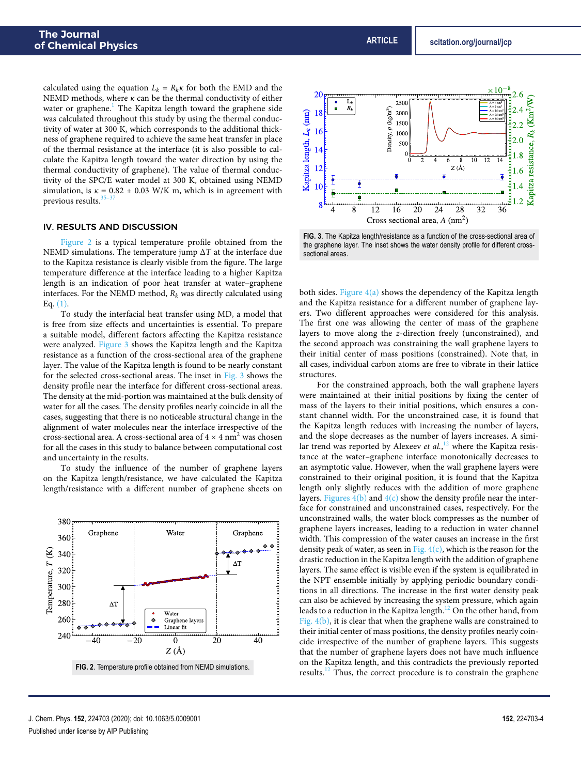calculated using the equation  $L_k = R_k \kappa$  for both the EMD and the NEMD methods, where  $\kappa$  can be the thermal conductivity of either water or graphene.<sup>1</sup> The Kapitza length toward the graphene side was calculated throughout this study by using the thermal conductivity of water at 300 K, which corresponds to the additional thickness of graphene required to achieve the same heat transfer in place of the thermal resistance at the interface (it is also possible to calculate the Kapitza length toward the water direction by using the thermal conductivity of graphene). The value of thermal conductivity of the SPC/E water model at 300 K, obtained using NEMD simulation, is  $\kappa = 0.82 \pm 0.03$  W/K m, which is in agreement with previous results.  $\boldsymbol{^{35-}}$ 

#### IV. RESULTS AND DISCUSSION

Figure 2 is a typical temperature profile obtained from the NEMD simulations. The temperature jump Δ*T* at the interface due to the Kapitza resistance is clearly visible from the figure. The large temperature difference at the interface leading to a higher Kapitza length is an indication of poor heat transfer at water–graphene interfaces. For the NEMD method,  $R_k$  was directly calculated using Eq.  $(1)$ .

To study the interfacial heat transfer using MD, a model that is free from size effects and uncertainties is essential. To prepare a suitable model, different factors affecting the Kapitza resistance were analyzed. Figure 3 shows the Kapitza length and the Kapitza resistance as a function of the cross-sectional area of the graphene layer. The value of the Kapitza length is found to be nearly constant for the selected cross-sectional areas. The inset in Fig. 3 shows the density profile near the interface for different cross-sectional areas. The density at the mid-portion was maintained at the bulk density of water for all the cases. The density profiles nearly coincide in all the cases, suggesting that there is no noticeable structural change in the alignment of water molecules near the interface irrespective of the cross-sectional area. A cross-sectional area of  $4 \times 4$  nm<sup>2</sup> was chosen for all the cases in this study to balance between computational cost and uncertainty in the results.

To study the influence of the number of graphene layers on the Kapitza length/resistance, we have calculated the Kapitza length/resistance with a different number of graphene sheets on



**FIG. 2**. Temperature profile obtained from NEMD simulations.





**FIG. 3**. The Kapitza length/resistance as a function of the cross-sectional area of the graphene layer. The inset shows the water density profile for different crosssectional areas.

both sides. Figure  $4(a)$  shows the dependency of the Kapitza length and the Kapitza resistance for a different number of graphene layers. Two different approaches were considered for this analysis. The first one was allowing the center of mass of the graphene layers to move along the *z*-direction freely (unconstrained), and the second approach was constraining the wall graphene layers to their initial center of mass positions (constrained). Note that, in all cases, individual carbon atoms are free to vibrate in their lattice structures.

For the constrained approach, both the wall graphene layers were maintained at their initial positions by fixing the center of mass of the layers to their initial positions, which ensures a constant channel width. For the unconstrained case, it is found that the Kapitza length reduces with increasing the number of layers, and the slope decreases as the number of layers increases. A similar trend was reported by Alexeev *et al.*, <sup>12</sup> where the Kapitza resistance at the water–graphene interface monotonically decreases to an asymptotic value. However, when the wall graphene layers were constrained to their original position, it is found that the Kapitza length only slightly reduces with the addition of more graphene layers. Figures  $4(b)$  and  $4(c)$  show the density profile near the interface for constrained and unconstrained cases, respectively. For the unconstrained walls, the water block compresses as the number of graphene layers increases, leading to a reduction in water channel width. This compression of the water causes an increase in the first density peak of water, as seen in Fig.  $4(c)$ , which is the reason for the drastic reduction in the Kapitza length with the addition of graphene layers. The same effect is visible even if the system is equilibrated in the NPT ensemble initially by applying periodic boundary conditions in all directions. The increase in the first water density peak can also be achieved by increasing the system pressure, which again leads to a reduction in the Kapitza length.<sup>12</sup> On the other hand, from Fig. 4(b), it is clear that when the graphene walls are constrained to their initial center of mass positions, the density profiles nearly coincide irrespective of the number of graphene layers. This suggests that the number of graphene layers does not have much influence on the Kapitza length, and this contradicts the previously reported results.<sup>12</sup> Thus, the correct procedure is to constrain the graphene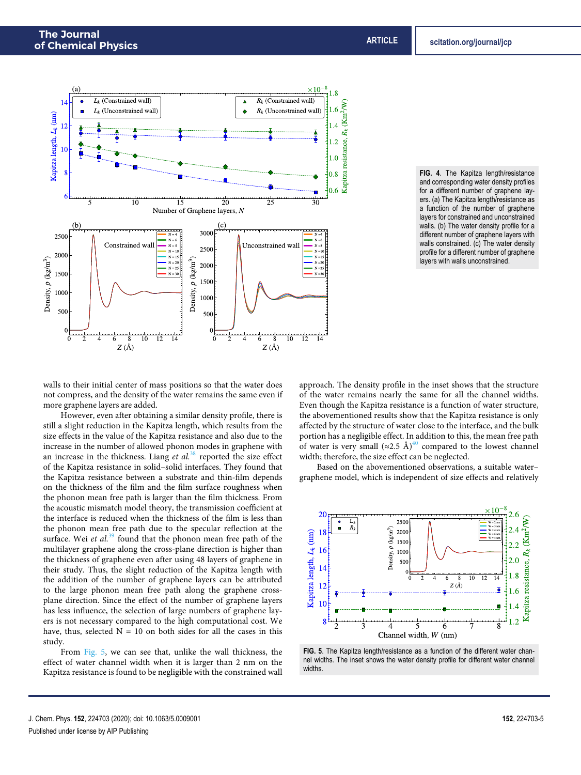

**FIG. 4**. The Kapitza length/resistance and corresponding water density profiles for a different number of graphene layers. (a) The Kapitza length/resistance as a function of the number of graphene layers for constrained and unconstrained walls. (b) The water density profile for a different number of graphene layers with walls constrained. (c) The water density profile for a different number of graphene layers with walls unconstrained.

walls to their initial center of mass positions so that the water does not compress, and the density of the water remains the same even if more graphene layers are added.

However, even after obtaining a similar density profile, there is still a slight reduction in the Kapitza length, which results from the size effects in the value of the Kapitza resistance and also due to the increase in the number of allowed phonon modes in graphene with an increase in the thickness. Liang *et al.*<sup>38</sup> reported the size effect of the Kapitza resistance in solid–solid interfaces. They found that the Kapitza resistance between a substrate and thin-film depends on the thickness of the film and the film surface roughness when the phonon mean free path is larger than the film thickness. From the acoustic mismatch model theory, the transmission coefficient at the interface is reduced when the thickness of the film is less than the phonon mean free path due to the specular reflection at the surface. Wei *et al.*<sup>39</sup> found that the phonon mean free path of the multilayer graphene along the cross-plane direction is higher than the thickness of graphene even after using 48 layers of graphene in their study. Thus, the slight reduction of the Kapitza length with the addition of the number of graphene layers can be attributed to the large phonon mean free path along the graphene crossplane direction. Since the effect of the number of graphene layers has less influence, the selection of large numbers of graphene layers is not necessary compared to the high computational cost. We have, thus, selected  $N = 10$  on both sides for all the cases in this study.

From Fig. 5, we can see that, unlike the wall thickness, the effect of water channel width when it is larger than 2 nm on the Kapitza resistance is found to be negligible with the constrained wall approach. The density profile in the inset shows that the structure of the water remains nearly the same for all the channel widths. Even though the Kapitza resistance is a function of water structure, the abovementioned results show that the Kapitza resistance is only affected by the structure of water close to the interface, and the bulk portion has a negligible effect. In addition to this, the mean free path of water is very small ( $\approx$ 2.5 Å)<sup>40</sup> compared to the lowest channel width; therefore, the size effect can be neglected.

Based on the abovementioned observations, a suitable water– graphene model, which is independent of size effects and relatively



**FIG. 5**. The Kapitza length/resistance as a function of the different water channel widths. The inset shows the water density profile for different water channel widths.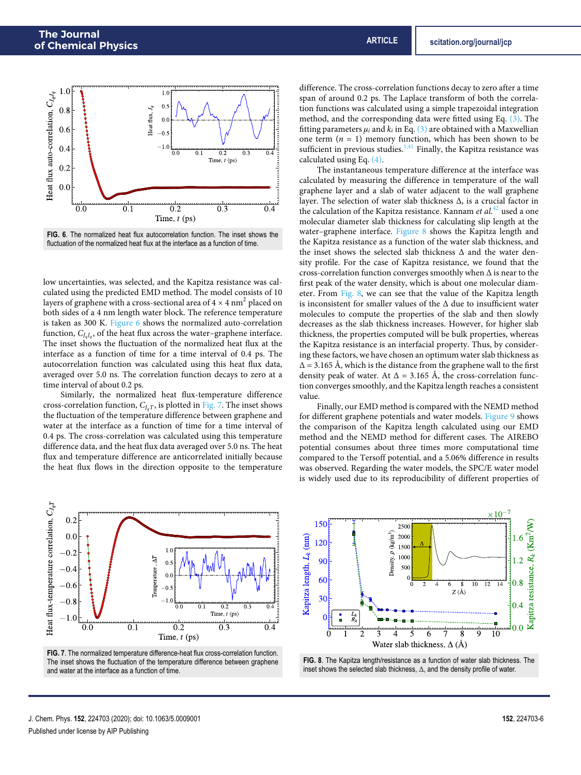

**FIG. 6**. The normalized heat flux autocorrelation function. The inset shows the fluctuation of the normalized heat flux at the interface as a function of time.

low uncertainties, was selected, and the Kapitza resistance was calculated using the predicted EMD method. The model consists of 10 layers of graphene with a cross-sectional area of 4  $\times$  4 nm<sup>2</sup> placed on both sides of a 4 nm length water block. The reference temperature is taken as 300 K. Figure 6 shows the normalized auto-correlation function, *C<sup>J</sup>qJ<sup>q</sup>* , of the heat flux across the water–graphene interface. The inset shows the fluctuation of the normalized heat flux at the interface as a function of time for a time interval of 0.4 ps. The autocorrelation function was calculated using this heat flux data, averaged over 5.0 ns. The correlation function decays to zero at a time interval of about 0.2 ps.

Similarly, the normalized heat flux-temperature difference cross-correlation function,  $C_{I_aT}$ , is plotted in Fig. 7. The inset shows the fluctuation of the temperature difference between graphene and water at the interface as a function of time for a time interval of 0.4 ps. The cross-correlation was calculated using this temperature difference data, and the heat flux data averaged over 5.0 ns. The heat flux and temperature difference are anticorrelated initially because the heat flux flows in the direction opposite to the temperature



**FIG. 7**. The normalized temperature difference-heat flux cross-correlation function. The inset shows the fluctuation of the temperature difference between graphene and water at the interface as a function of time.

difference. The cross-correlation functions decay to zero after a time span of around 0.2 ps. The Laplace transform of both the correlation functions was calculated using a simple trapezoidal integration method, and the corresponding data were fitted using Eq. (3). The fitting parameters  $\mu_i$  and  $k_i$  in Eq. (3) are obtained with a Maxwellian one term  $(n = 1)$  memory function, which has been shown to be sufficient in previous studies. $\frac{1}{4}$  Finally, the Kapitza resistance was calculated using Eq. (4).

The instantaneous temperature difference at the interface was calculated by measuring the difference in temperature of the wall graphene layer and a slab of water adjacent to the wall graphene layer. The selection of water slab thickness  $\Delta$ , is a crucial factor in the calculation of the Kapitza resistance. Kannam *et al.*<sup>42</sup> used a one molecular diameter slab thickness for calculating slip length at the water–graphene interface. Figure 8 shows the Kapitza length and the Kapitza resistance as a function of the water slab thickness, and the inset shows the selected slab thickness Δ and the water density profile. For the case of Kapitza resistance, we found that the cross-correlation function converges smoothly when Δ is near to the first peak of the water density, which is about one molecular diameter. From Fig. 8, we can see that the value of the Kapitza length is inconsistent for smaller values of the  $\Delta$  due to insufficient water molecules to compute the properties of the slab and then slowly decreases as the slab thickness increases. However, for higher slab thickness, the properties computed will be bulk properties, whereas the Kapitza resistance is an interfacial property. Thus, by considering these factors, we have chosen an optimum water slab thickness as  $\Delta$  = 3.165 Å, which is the distance from the graphene wall to the first density peak of water. At  $\Delta = 3.165$  Å, the cross-correlation function converges smoothly, and the Kapitza length reaches a consistent value.

Finally, our EMD method is compared with the NEMD method for different graphene potentials and water models. Figure 9 shows the comparison of the Kapitza length calculated using our EMD method and the NEMD method for different cases. The AIREBO potential consumes about three times more computational time compared to the Tersoff potential, and a 5.06% difference in results was observed. Regarding the water models, the SPC/E water model is widely used due to its reproducibility of different properties of



**FIG. 8**. The Kapitza length/resistance as a function of water slab thickness. The inset shows the selected slab thickness, Δ, and the density profile of water.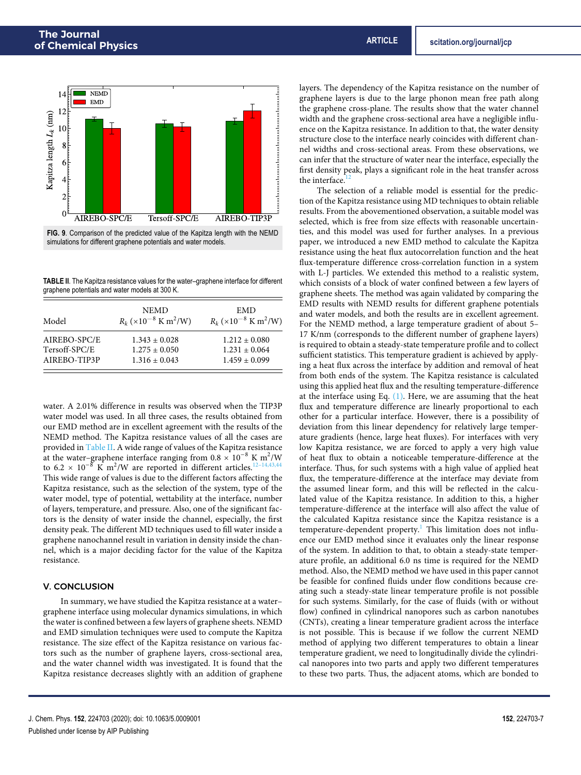

**FIG. 9**. Comparison of the predicted value of the Kapitza length with the NEMD simulations for different graphene potentials and water models.

**TABLE II**. The Kapitza resistance values for the water–graphene interface for different graphene potentials and water models at 300 K.

| Model         | <b>NEMD</b><br>$R_k$ (×10 <sup>-8</sup> K m <sup>2</sup> /W) | EMD<br>$R_k$ (×10 <sup>-8</sup> K m <sup>2</sup> /W) |
|---------------|--------------------------------------------------------------|------------------------------------------------------|
| AIREBO-SPC/E  | $1.343 \pm 0.028$                                            | $1.212 \pm 0.080$                                    |
| Tersoff-SPC/E | $1.275 \pm 0.050$                                            | $1.231 \pm 0.064$                                    |
| AIREBO-TIP3P  | $1.316 \pm 0.043$                                            | $1.459 \pm 0.099$                                    |

water. A 2.01% difference in results was observed when the TIP3P water model was used. In all three cases, the results obtained from our EMD method are in excellent agreement with the results of the NEMD method. The Kapitza resistance values of all the cases are provided in Table II. A wide range of values of the Kapitza resistance at the water–graphene interface ranging from  $0.8 \times 10^{-8}$  K m<sup>2</sup>/W to 6.2 × 10<sup>-8</sup> K m<sup>2</sup>/W are reported in different articles.<sup>12–14,43,44</sup> This wide range of values is due to the different factors affecting the Kapitza resistance, such as the selection of the system, type of the water model, type of potential, wettability at the interface, number of layers, temperature, and pressure. Also, one of the significant factors is the density of water inside the channel, especially, the first density peak. The different MD techniques used to fill water inside a graphene nanochannel result in variation in density inside the channel, which is a major deciding factor for the value of the Kapitza resistance.

#### V. CONCLUSION

In summary, we have studied the Kapitza resistance at a water– graphene interface using molecular dynamics simulations, in which the water is confined between a few layers of graphene sheets. NEMD and EMD simulation techniques were used to compute the Kapitza resistance. The size effect of the Kapitza resistance on various factors such as the number of graphene layers, cross-sectional area, and the water channel width was investigated. It is found that the Kapitza resistance decreases slightly with an addition of graphene layers. The dependency of the Kapitza resistance on the number of graphene layers is due to the large phonon mean free path along the graphene cross-plane. The results show that the water channel width and the graphene cross-sectional area have a negligible influence on the Kapitza resistance. In addition to that, the water density structure close to the interface nearly coincides with different channel widths and cross-sectional areas. From these observations, we can infer that the structure of water near the interface, especially the first density peak, plays a significant role in the heat transfer across the interface.

The selection of a reliable model is essential for the prediction of the Kapitza resistance using MD techniques to obtain reliable results. From the abovementioned observation, a suitable model was selected, which is free from size effects with reasonable uncertainties, and this model was used for further analyses. In a previous paper, we introduced a new EMD method to calculate the Kapitza resistance using the heat flux autocorrelation function and the heat flux-temperature difference cross-correlation function in a system with L-J particles. We extended this method to a realistic system, which consists of a block of water confined between a few layers of graphene sheets. The method was again validated by comparing the EMD results with NEMD results for different graphene potentials and water models, and both the results are in excellent agreement. For the NEMD method, a large temperature gradient of about 5– 17 K/nm (corresponds to the different number of graphene layers) is required to obtain a steady-state temperature profile and to collect sufficient statistics. This temperature gradient is achieved by applying a heat flux across the interface by addition and removal of heat from both ends of the system. The Kapitza resistance is calculated using this applied heat flux and the resulting temperature-difference at the interface using Eq.  $(1)$ . Here, we are assuming that the heat flux and temperature difference are linearly proportional to each other for a particular interface. However, there is a possibility of deviation from this linear dependency for relatively large temperature gradients (hence, large heat fluxes). For interfaces with very low Kapitza resistance, we are forced to apply a very high value of heat flux to obtain a noticeable temperature-difference at the interface. Thus, for such systems with a high value of applied heat flux, the temperature-difference at the interface may deviate from the assumed linear form, and this will be reflected in the calculated value of the Kapitza resistance. In addition to this, a higher temperature-difference at the interface will also affect the value of the calculated Kapitza resistance since the Kapitza resistance is a temperature-dependent property.<sup>1</sup> This limitation does not influence our EMD method since it evaluates only the linear response of the system. In addition to that, to obtain a steady-state temperature profile, an additional 6.0 ns time is required for the NEMD method. Also, the NEMD method we have used in this paper cannot be feasible for confined fluids under flow conditions because creating such a steady-state linear temperature profile is not possible for such systems. Similarly, for the case of fluids (with or without flow) confined in cylindrical nanopores such as carbon nanotubes (CNTs), creating a linear temperature gradient across the interface is not possible. This is because if we follow the current NEMD method of applying two different temperatures to obtain a linear temperature gradient, we need to longitudinally divide the cylindrical nanopores into two parts and apply two different temperatures to these two parts. Thus, the adjacent atoms, which are bonded to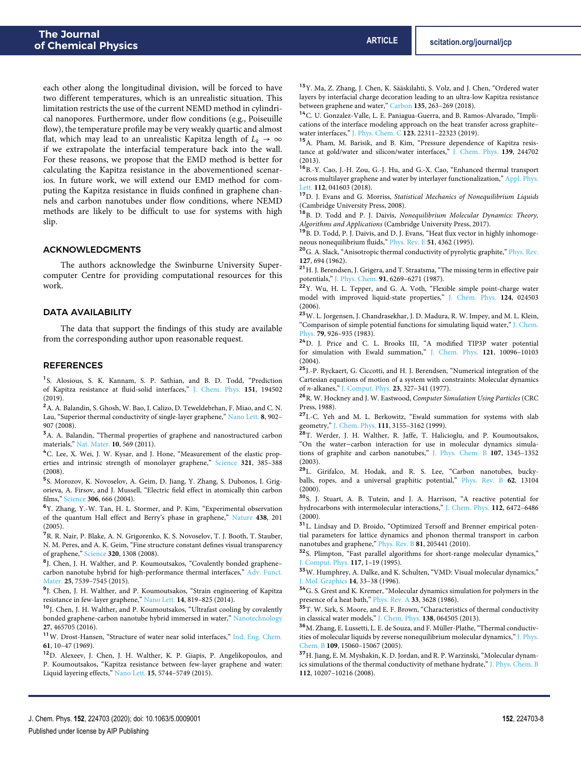each other along the longitudinal division, will be forced to have two different temperatures, which is an unrealistic situation. This limitation restricts the use of the current NEMD method in cylindrical nanopores. Furthermore, under flow conditions (e.g., Poiseuille flow), the temperature profile may be very weakly quartic and almost flat, which may lead to an unrealistic Kapitza length of  $L_k \rightarrow \infty$ if we extrapolate the interfacial temperature back into the wall. For these reasons, we propose that the EMD method is better for calculating the Kapitza resistance in the abovementioned scenarios. In future work, we will extend our EMD method for computing the Kapitza resistance in fluids confined in graphene channels and carbon nanotubes under flow conditions, where NEMD methods are likely to be difficult to use for systems with high slip.

#### ACKNOWLEDGMENTS

The authors acknowledge the Swinburne University Supercomputer Centre for providing computational resources for this work.

#### DATA AVAILABILITY

The data that support the findings of this study are available from the corresponding author upon reasonable request.

#### **REFERENCES**

<sup>1</sup>S. Alosious, S. K. Kannam, S. P. Sathian, and B. D. Todd, "Prediction of Kapitza resistance at fluid-solid interfaces," J. Chem. Phys. **151**, 194502 (2019).

<sup>2</sup>A. A. Balandin, S. Ghosh, W. Bao, I. Calizo, D. Teweldebrhan, F. Miao, and C. N. Lau, "Superior thermal conductivity of single-layer graphene," Nano Lett. **8**, 902– 907 (2008).

<sup>3</sup>A. A. Balandin, "Thermal properties of graphene and nanostructured carbon materials," Nat. Mater. **10**, 569 (2011).

<sup>4</sup>C. Lee, X. Wei, J. W. Kysar, and J. Hone, "Measurement of the elastic properties and intrinsic strength of monolayer graphene," Science **321**, 385–388 (2008).

5 S. Morozov, K. Novoselov, A. Geim, D. Jiang, Y. Zhang, S. Dubonos, I. Grigorieva, A. Firsov, and J. Mussell, "Electric field effect in atomically thin carbon films," Science **306**, 666 (2004).

<sup>6</sup>Y. Zhang, Y.-W. Tan, H. L. Stormer, and P. Kim, "Experimental observation of the quantum Hall effect and Berry's phase in graphene," Nature **438**, 201 (2005).

<sup>7</sup>R. R. Nair, P. Blake, A. N. Grigorenko, K. S. Novoselov, T. J. Booth, T. Stauber, N. M. Peres, and A. K. Geim, "Fine structure constant defines visual transparency of graphene," Science **320**, 1308 (2008).

<sup>8</sup>J. Chen, J. H. Walther, and P. Koumoutsakos, "Covalently bonded graphenecarbon nanotube hybrid for high-performance thermal interfaces," Adv. Funct. Mater. **25**, 7539–7545 (2015).

<sup>9</sup> J. Chen, J. H. Walther, and P. Koumoutsakos, "Strain engineering of Kapitza resistance in few-layer graphene," Nano Lett. **14**, 819–825 (2014).

<sup>10</sup>J. Chen, J. H. Walther, and P. Koumoutsakos, "Ultrafast cooling by covalently bonded graphene-carbon nanotube hybrid immersed in water," Nanotechnology **27**, 465705 (2016).

<sup>11</sup>W. Drost-Hansen, "Structure of water near solid interfaces," Ind. Eng. Chem. **61**, 10–47 (1969).

<sup>12</sup>D. Alexeev, J. Chen, J. H. Walther, K. P. Giapis, P. Angelikopoulos, and P. Koumoutsakos, "Kapitza resistance between few-layer graphene and water: Liquid layering effects," Nano Lett. **15**, 5744–5749 (2015).

<sup>13</sup>Y. Ma, Z. Zhang, J. Chen, K. Sääskilahti, S. Volz, and J. Chen, "Ordered water layers by interfacial charge decoration leading to an ultra-low Kapitza resistance between graphene and water," Carbon **135**, 263–269 (2018).

<sup>14</sup>C. U. Gonzalez-Valle, L. E. Paniagua-Guerra, and B. Ramos-Alvarado, "Implications of the interface modeling approach on the heat transfer across graphite– water interfaces," J. Phys. Chem. C **123**, 22311–22323 (2019).

<sup>15</sup>A. Pham, M. Barisik, and B. Kim, "Pressure dependence of Kapitza resistance at gold/water and silicon/water interfaces," J. Chem. Phys. **139**, 244702 (2013).

<sup>16</sup>B.-Y. Cao, J.-H. Zou, G.-J. Hu, and G.-X. Cao, "Enhanced thermal transport across multilayer graphene and water by interlayer functionalization," Appl. Phys. Lett. **112**, 041603 (2018).

<sup>17</sup>D. J. Evans and G. Morriss, *Statistical Mechanics of Nonequilibrium Liquids* (Cambridge University Press, 2008).

<sup>18</sup>B. D. Todd and P. J. Daivis, *Nonequilibrium Molecular Dynamics: Theory, Algorithms and Applications* (Cambridge University Press, 2017).

<sup>19</sup>B. D. Todd, P. J. Daivis, and D. J. Evans, "Heat flux vector in highly inhomogeneous nonequilibrium fluids," Phys. Rev. E **51**, 4362 (1995).

<sup>20</sup>G. A. Slack, "Anisotropic thermal conductivity of pyrolytic graphite," Phys. Rev. **127**, 694 (1962).

 $^{\textbf{21}}$  H. J. Berendsen, J. Grigera, and T. Straatsma, "The missing term in effective pair potentials," J. Phys. Chem. **91**, 6269–6271 (1987).

<sup>22</sup>Y. Wu, H. L. Tepper, and G. A. Voth, "Flexible simple point-charge water model with improved liquid-state properties," J. Chem. Phys. **124**, 024503 (2006).

<sup>23</sup>W. L. Jorgensen, J. Chandrasekhar, J. D. Madura, R. W. Impey, and M. L. Klein, "Comparison of simple potential functions for simulating liquid water," J. Chem. Phys. **79**, 926–935 (1983).

<sup>24</sup>D. J. Price and C. L. Brooks III, "A modified TIP3P water potential for simulation with Ewald summation," J. Chem. Phys. **121**, 10096–10103 (2004).

<sup>25</sup>J.-P. Ryckaert, G. Ciccotti, and H. J. Berendsen, "Numerical integration of the Cartesian equations of motion of a system with constraints: Molecular dynamics of *n*-alkanes," J. Comput. Phys. **23**, 327–341 (1977).

<sup>26</sup>R. W. Hockney and J. W. Eastwood, *Computer Simulation Using Particles* (CRC Press, 1988).

<sup>27</sup>I.-C. Yeh and M. L. Berkowitz, "Ewald summation for systems with slab geometry," J. Chem. Phys. **111**, 3155–3162 (1999).

<sup>28</sup>T. Werder, J. H. Walther, R. Jaffe, T. Halicioglu, and P. Koumoutsakos, "On the water−carbon interaction for use in molecular dynamics simulations of graphite and carbon nanotubes," J. Phys. Chem. B **107**, 1345–1352 (2003).

<sup>29</sup>L. Girifalco, M. Hodak, and R. S. Lee, "Carbon nanotubes, buckyballs, ropes, and a universal graphitic potential," Phys. Rev. B **62**, 13104 (2000).

<sup>30</sup>S. J. Stuart, A. B. Tutein, and J. A. Harrison, "A reactive potential for hydrocarbons with intermolecular interactions," J. Chem. Phys. **112**, 6472–6486  $(2000)$ .

<sup>31</sup>L. Lindsay and D. Broido, "Optimized Tersoff and Brenner empirical potential parameters for lattice dynamics and phonon thermal transport in carbon nanotubes and graphene," Phys. Rev. B **81**, 205441 (2010).

<sup>32</sup>S. Plimpton, "Fast parallel algorithms for short-range molecular dynamics," J. Comput. Phys. **117**, 1–19 (1995).

<sup>33</sup>W. Humphrey, A. Dalke, and K. Schulten, "VMD: Visual molecular dynamics," J. Mol. Graphics **14**, 33–38 (1996).

<sup>34</sup>G. S. Grest and K. Kremer, "Molecular dynamics simulation for polymers in the presence of a heat bath," Phys. Rev. A **33**, 3628 (1986).

<sup>35</sup>T. W. Sirk, S. Moore, and E. F. Brown, "Characteristics of thermal conductivity in classical water models," J. Chem. Phys. **138**, 064505 (2013).

<sup>36</sup>M. Zhang, E. Lussetti, L. E. de Souza, and F. Müller-Plathe, "Thermal conductivities of molecular liquids by reverse nonequilibrium molecular dynamics," J. Phys. Chem. B **109**, 15060–15067 (2005).

<sup>37</sup>H. Jiang, E. M. Myshakin, K. D. Jordan, and R. P. Warzinski, "Molecular dynamics simulations of the thermal conductivity of methane hydrate," J. Phys. Chem. B **112**, 10207–10216 (2008).

J. Chem. Phys. **152**, 224703 (2020); doi: 10.1063/5.0009001 **152**, 224703-8 Published under license by AIP Publishing